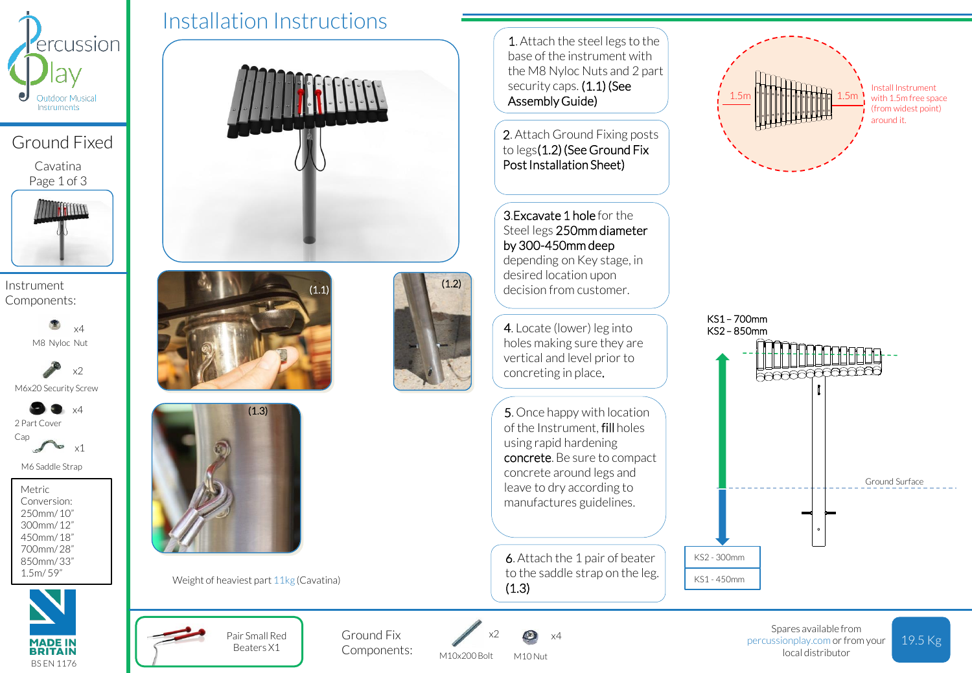

Ground Fixed

Cavatina Page 1 of 3



Instrument Components:

> M8 Nyloc Nut x4

M6x20 Security Screw x2

2 Part Cover Cap  $\sqrt{4}$ 

> **Sept** x1

M6 Saddle Strap

Metric Conversion: 250mm/ 10" 300mm/ 12" 450mm/ 18" 700mm/ 28" 850mm/ 33" 1.5m/ 59"



Installation Instructions  $(1.1)$  (1.2)  $(1.3)$ 

Weight of heaviest part 11kg (Cavatina)

Pair Small Red Beaters X1

Ground Fix Components:



M10x200 Bolt M10 Nut

1. Attach the steel legs to the base of the instrument with the M8 Nyloc Nuts and 2 part security caps. (1.1) (See Assembly Guide)

2. Attach Ground Fixing posts to legs(1.2) (See Ground Fix Post Installation Sheet)

3.Excavate 1 hole for the Steel legs 250mm diameter by 300-450mm deep depending on Key stage, in desired location upon decision from customer.

4. Locate (lower) leg into holes making sure they are vertical and level prior to concreting in place.

5. Once happy with location of the Instrument, fill holes using rapid hardening concrete. Be sure to compact concrete around legs and leave to dry according to manufactures guidelines.

6. Attach the 1 pair of beater to the saddle strap on the leg. (1.3)



Install Instrument with 1.5m free space (from widest point) around it.



Spares available from percussionplay.com or from your local distributor

19.5 Kg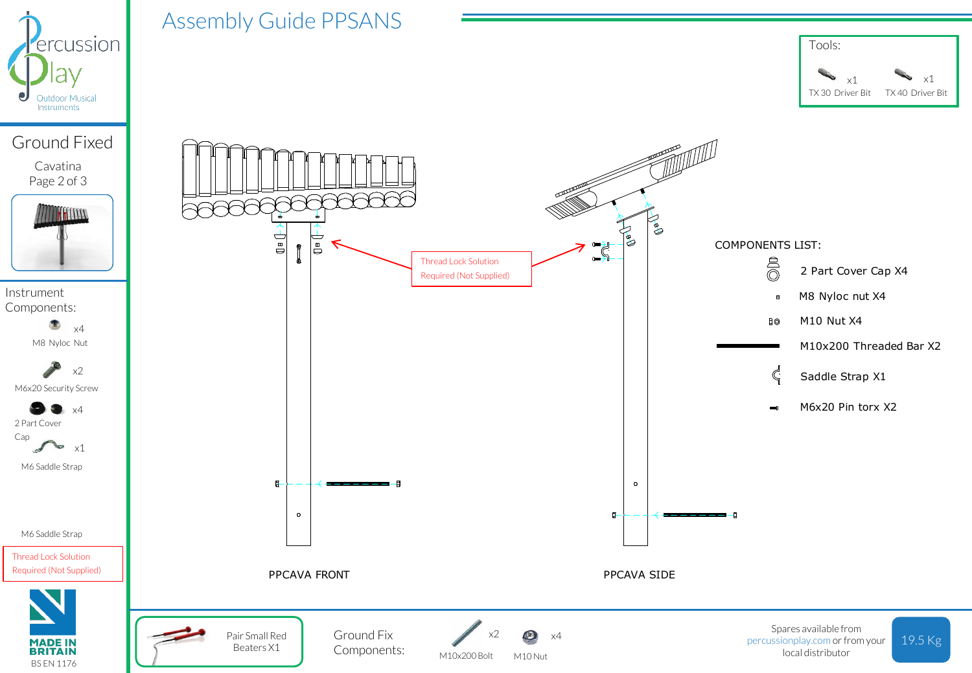